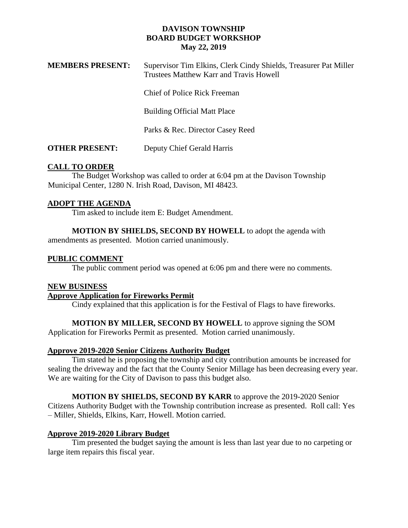## **DAVISON TOWNSHIP BOARD BUDGET WORKSHOP May 22, 2019**

| <b>MEMBERS PRESENT:</b> | Supervisor Tim Elkins, Clerk Cindy Shields, Treasurer Pat Miller<br>Trustees Matthew Karr and Travis Howell |
|-------------------------|-------------------------------------------------------------------------------------------------------------|
|                         | Chief of Police Rick Freeman                                                                                |
|                         | <b>Building Official Matt Place</b>                                                                         |
|                         | Parks & Rec. Director Casey Reed                                                                            |
| <b>OTHER PRESENT:</b>   | Deputy Chief Gerald Harris                                                                                  |

## **CALL TO ORDER**

The Budget Workshop was called to order at 6:04 pm at the Davison Township Municipal Center, 1280 N. Irish Road, Davison, MI 48423.

## **ADOPT THE AGENDA**

Tim asked to include item E: Budget Amendment.

**MOTION BY SHIELDS, SECOND BY HOWELL** to adopt the agenda with amendments as presented. Motion carried unanimously.

## **PUBLIC COMMENT**

The public comment period was opened at 6:06 pm and there were no comments.

### **NEW BUSINESS**

# **Approve Application for Fireworks Permit**

Cindy explained that this application is for the Festival of Flags to have fireworks.

# **MOTION BY MILLER, SECOND BY HOWELL** to approve signing the SOM

Application for Fireworks Permit as presented. Motion carried unanimously.

# **Approve 2019-2020 Senior Citizens Authority Budget**

Tim stated he is proposing the township and city contribution amounts be increased for sealing the driveway and the fact that the County Senior Millage has been decreasing every year. We are waiting for the City of Davison to pass this budget also.

# **MOTION BY SHIELDS, SECOND BY KARR** to approve the 2019-2020 Senior

Citizens Authority Budget with the Township contribution increase as presented. Roll call: Yes – Miller, Shields, Elkins, Karr, Howell. Motion carried.

#### **Approve 2019-2020 Library Budget**

Tim presented the budget saying the amount is less than last year due to no carpeting or large item repairs this fiscal year.